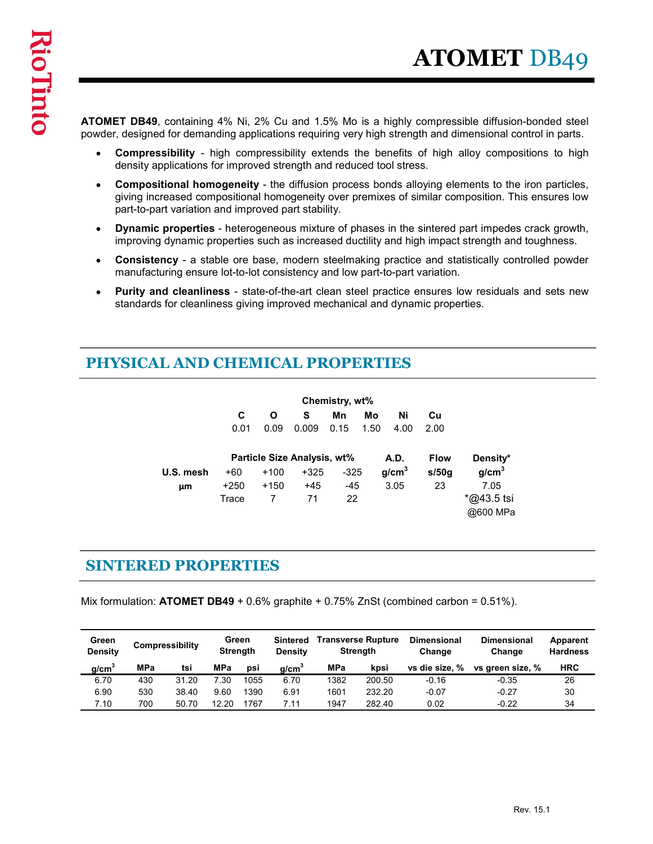ATOMET DB49, containing 4% Ni, 2% Cu and 1.5% Mo is a highly compressible diffusion-bonded steel powder, designed for demanding applications requiring very high strength and dimensional control in parts.

- density applications for improved strength and reduced tool stress.
- **COMET DB49**<br>
FI DB49, containing 4% Ni, 2% Cu and 1.5% Mo is a highly compressible diffusion-bonded steel<br>
Sumpressibility high compressibility extends the benefits of high alloy compositions to high<br>
density applicatio **ATOMET** DB49, containing 4% Ni, 2% Cu and 1.5% Mo is a highly compressible diffusion-bonded steel<br>, designed for demanding applications requiring very high strength and dimensional control in parts.<br>Compressibility - high **ATOMET** DB49<br>
FT DB49, containing 4% Ni, 2% Cu and 1.5% Mo is a highly compressible diffusion-bonded steel<br>
(, designed for demanding applications requiring very high stength and dimensional control in parts.<br>
Compressibi **ET DB49**<br>
FT DB49, containing 4% Ni, 2% Cu and 1.5% Mo is a highly compressible diffusion-bonded steel<br>
distigned for demanding applications requiring very high strength and dimensional control in parts.<br>
Compressibility **ET DB49**, containing 4% Ni, 2% Cu and 1.5% Mo is a highly compressible diffusion-bonded steel<br>discussion of demanding applications requiring very high strength and dimensional control in parts.<br>Compressibility - high com  $\bullet$ giving increased compositional homogeneity over premixes of similar composition. This ensures low part-to-part variation and improved part stability.
- $\bullet$ improving dynamic properties such as increased ductility and high impact strength and toughness.
- $\bullet$ manufacturing ensure lot-to-lot consistency and low part-to-part variation.
- standards for cleanliness giving improved mechanical and dynamic properties.

## PHYSICAL AND CHEMICAL PROPERTIES

|                           |                                                                     |           |                   |           |                                    |                             |             |                                                                              | accigned for actinationly applications requiring very high strength and almonomal control in parts.                                                                                                   |                             |
|---------------------------|---------------------------------------------------------------------|-----------|-------------------|-----------|------------------------------------|-----------------------------|-------------|------------------------------------------------------------------------------|-------------------------------------------------------------------------------------------------------------------------------------------------------------------------------------------------------|-----------------------------|
| $\bullet$                 | density applications for improved strength and reduced tool stress. |           |                   |           |                                    |                             |             |                                                                              | <b>Compressibility</b> - high compressibility extends the benefits of high alloy compositions to high                                                                                                 |                             |
| $\bullet$                 | part-to-part variation and improved part stability.                 |           |                   |           |                                    |                             |             |                                                                              | Compositional homogeneity - the diffusion process bonds alloying elements to the iron particles,<br>giving increased compositional homogeneity over premixes of similar composition. This ensures low |                             |
| $\bullet$                 |                                                                     |           |                   |           |                                    |                             |             |                                                                              | Dynamic properties - heterogeneous mixture of phases in the sintered part impedes crack growth,<br>improving dynamic properties such as increased ductility and high impact strength and toughness.   |                             |
| $\bullet$                 |                                                                     |           |                   |           |                                    |                             |             | manufacturing ensure lot-to-lot consistency and low part-to-part variation.  | <b>Consistency</b> - a stable ore base, modern steelmaking practice and statistically controlled powder                                                                                               |                             |
| $\bullet$                 |                                                                     |           |                   |           |                                    |                             |             | standards for cleanliness giving improved mechanical and dynamic properties. | Purity and cleanliness - state-of-the-art clean steel practice ensures low residuals and sets new                                                                                                     |                             |
|                           | PHYSICAL AND CHEMICAL PROPERTIES                                    |           |                   |           |                                    |                             |             |                                                                              |                                                                                                                                                                                                       |                             |
|                           |                                                                     |           |                   |           |                                    | Chemistry, wt%              |             |                                                                              |                                                                                                                                                                                                       |                             |
|                           |                                                                     |           |                   | C<br>0.01 | $\mathbf{o}$<br>s<br>0.09<br>0.009 | Mn<br>0.15                  | Mo<br>1.50  | Ni<br>Cu<br>4.00<br>2.00                                                     |                                                                                                                                                                                                       |                             |
|                           |                                                                     |           |                   |           |                                    | Particle Size Analysis, wt% |             | A.D.<br><b>Flow</b>                                                          | Density*                                                                                                                                                                                              |                             |
|                           |                                                                     | U.S. mesh | $+60$             |           | $+100$                             | $+325$                      | $-325$      | g/cm <sup>3</sup><br>s/50g                                                   | g/cm <sup>3</sup>                                                                                                                                                                                     |                             |
|                           |                                                                     | μm        | $+250$<br>Trace   |           | $+150$<br>$\overline{7}$           | $+45$<br>71                 | $-45$<br>22 | 3.05<br>23                                                                   | 7.05<br>*@43.5 tsi<br>@600 MPa                                                                                                                                                                        |                             |
|                           | <b>SINTERED PROPERTIES</b>                                          |           |                   |           |                                    |                             |             |                                                                              |                                                                                                                                                                                                       |                             |
|                           |                                                                     |           |                   |           |                                    |                             |             |                                                                              | Aix formulation: <b>ATOMET DB49</b> + 0.6% graphite + 0.75% ZnSt (combined carbon = 0.51%).                                                                                                           |                             |
|                           | Compressibility                                                     |           | Green<br>Strength |           | <b>Density</b>                     | Sintered Transverse Rupture | Strength    | <b>Dimensional</b><br>Change                                                 | <b>Dimensional</b><br>Change                                                                                                                                                                          | Apparent<br><b>Hardness</b> |
| Green<br><b>Density</b>   |                                                                     |           |                   |           |                                    | <b>MPa</b>                  | kpsi        | vs die size, %                                                               | vs green size, %                                                                                                                                                                                      | <b>HRC</b>                  |
|                           | MPa                                                                 | tsi       | <b>MPa</b>        | psi       |                                    |                             |             |                                                                              |                                                                                                                                                                                                       |                             |
| g/cm <sup>3</sup><br>6.70 | 430                                                                 | 31.20     | 7.30              | 1055      | g/cm <sup>3</sup><br>6.70          | 1382                        | 200.50      | $-0.16$                                                                      | $-0.35$                                                                                                                                                                                               | 26                          |
| 6.90                      | 530                                                                 | 38.40     | 9.60              | 1390      | 6.91                               | 1601                        | 232.20      | $-0.07$                                                                      | $-0.27$                                                                                                                                                                                               | $30\,$                      |

| 0.09<br>0.01<br>0.009<br>0.15<br>1.50<br>4.00<br>2.00<br>Particle Size Analysis, wt%<br>A.D.<br><b>Flow</b><br>Density*<br>g/cm <sup>3</sup><br>g/cm <sup>3</sup><br>s/50g<br>$+100$<br>U.S. mesh<br>$+60$<br>$+325$<br>$-325$<br>$-45$<br>3.05<br>7.05<br>$+250$<br>$+150$<br>$+45$<br>23<br>μm<br>*@43.5 tsi<br>$\overline{7}$<br>22<br>Trace<br>71<br>@600 MPa<br><b>SINTERED PROPERTIES</b><br>Mix formulation: ATOMET DB49 + 0.6% graphite + 0.75% ZnSt (combined carbon = $0.51\%$ ).<br>Sintered Transverse Rupture<br>Green<br>Green<br><b>Dimensional</b><br><b>Dimensional</b><br>Apparent<br>Compressibility<br><b>Density</b><br><b>Strength</b><br><b>Strength</b><br><b>Hardness</b><br><b>Density</b><br>Change<br>Change<br><b>MPa</b><br>g/cm <sup>3</sup><br><b>MPa</b><br><b>HRC</b><br>g/cm <sup>3</sup><br>MPa<br>vs die size, %<br>tsi<br>kpsi<br>vs green size, %<br>psi<br>7.30<br>1055<br>$-0.16$<br>26<br>6.70<br>430<br>31.20<br>6.70<br>1382<br>200.50<br>$-0.35$<br>6.90<br>530<br>9.60<br>6.91<br>232.20<br>$-0.07$<br>$-0.27$<br>30<br>38.40<br>1390<br>1601<br>7.10<br>0.02<br>$-0.22$<br>34<br>700<br>50.70<br>12.20<br>1767<br>7.11<br>1947<br>282.40 |  | C. | O | s. | Mn | Mo | Ni<br>Cu |  |
|-----------------------------------------------------------------------------------------------------------------------------------------------------------------------------------------------------------------------------------------------------------------------------------------------------------------------------------------------------------------------------------------------------------------------------------------------------------------------------------------------------------------------------------------------------------------------------------------------------------------------------------------------------------------------------------------------------------------------------------------------------------------------------------------------------------------------------------------------------------------------------------------------------------------------------------------------------------------------------------------------------------------------------------------------------------------------------------------------------------------------------------------------------------------------------------------|--|----|---|----|----|----|----------|--|
|                                                                                                                                                                                                                                                                                                                                                                                                                                                                                                                                                                                                                                                                                                                                                                                                                                                                                                                                                                                                                                                                                                                                                                                         |  |    |   |    |    |    |          |  |
|                                                                                                                                                                                                                                                                                                                                                                                                                                                                                                                                                                                                                                                                                                                                                                                                                                                                                                                                                                                                                                                                                                                                                                                         |  |    |   |    |    |    |          |  |
|                                                                                                                                                                                                                                                                                                                                                                                                                                                                                                                                                                                                                                                                                                                                                                                                                                                                                                                                                                                                                                                                                                                                                                                         |  |    |   |    |    |    |          |  |
|                                                                                                                                                                                                                                                                                                                                                                                                                                                                                                                                                                                                                                                                                                                                                                                                                                                                                                                                                                                                                                                                                                                                                                                         |  |    |   |    |    |    |          |  |
|                                                                                                                                                                                                                                                                                                                                                                                                                                                                                                                                                                                                                                                                                                                                                                                                                                                                                                                                                                                                                                                                                                                                                                                         |  |    |   |    |    |    |          |  |
|                                                                                                                                                                                                                                                                                                                                                                                                                                                                                                                                                                                                                                                                                                                                                                                                                                                                                                                                                                                                                                                                                                                                                                                         |  |    |   |    |    |    |          |  |
|                                                                                                                                                                                                                                                                                                                                                                                                                                                                                                                                                                                                                                                                                                                                                                                                                                                                                                                                                                                                                                                                                                                                                                                         |  |    |   |    |    |    |          |  |
|                                                                                                                                                                                                                                                                                                                                                                                                                                                                                                                                                                                                                                                                                                                                                                                                                                                                                                                                                                                                                                                                                                                                                                                         |  |    |   |    |    |    |          |  |
|                                                                                                                                                                                                                                                                                                                                                                                                                                                                                                                                                                                                                                                                                                                                                                                                                                                                                                                                                                                                                                                                                                                                                                                         |  |    |   |    |    |    |          |  |
|                                                                                                                                                                                                                                                                                                                                                                                                                                                                                                                                                                                                                                                                                                                                                                                                                                                                                                                                                                                                                                                                                                                                                                                         |  |    |   |    |    |    |          |  |
|                                                                                                                                                                                                                                                                                                                                                                                                                                                                                                                                                                                                                                                                                                                                                                                                                                                                                                                                                                                                                                                                                                                                                                                         |  |    |   |    |    |    |          |  |
|                                                                                                                                                                                                                                                                                                                                                                                                                                                                                                                                                                                                                                                                                                                                                                                                                                                                                                                                                                                                                                                                                                                                                                                         |  |    |   |    |    |    |          |  |
|                                                                                                                                                                                                                                                                                                                                                                                                                                                                                                                                                                                                                                                                                                                                                                                                                                                                                                                                                                                                                                                                                                                                                                                         |  |    |   |    |    |    |          |  |
|                                                                                                                                                                                                                                                                                                                                                                                                                                                                                                                                                                                                                                                                                                                                                                                                                                                                                                                                                                                                                                                                                                                                                                                         |  |    |   |    |    |    |          |  |
|                                                                                                                                                                                                                                                                                                                                                                                                                                                                                                                                                                                                                                                                                                                                                                                                                                                                                                                                                                                                                                                                                                                                                                                         |  |    |   |    |    |    |          |  |
|                                                                                                                                                                                                                                                                                                                                                                                                                                                                                                                                                                                                                                                                                                                                                                                                                                                                                                                                                                                                                                                                                                                                                                                         |  |    |   |    |    |    |          |  |
|                                                                                                                                                                                                                                                                                                                                                                                                                                                                                                                                                                                                                                                                                                                                                                                                                                                                                                                                                                                                                                                                                                                                                                                         |  |    |   |    |    |    |          |  |
|                                                                                                                                                                                                                                                                                                                                                                                                                                                                                                                                                                                                                                                                                                                                                                                                                                                                                                                                                                                                                                                                                                                                                                                         |  |    |   |    |    |    |          |  |
|                                                                                                                                                                                                                                                                                                                                                                                                                                                                                                                                                                                                                                                                                                                                                                                                                                                                                                                                                                                                                                                                                                                                                                                         |  |    |   |    |    |    |          |  |
|                                                                                                                                                                                                                                                                                                                                                                                                                                                                                                                                                                                                                                                                                                                                                                                                                                                                                                                                                                                                                                                                                                                                                                                         |  |    |   |    |    |    |          |  |
|                                                                                                                                                                                                                                                                                                                                                                                                                                                                                                                                                                                                                                                                                                                                                                                                                                                                                                                                                                                                                                                                                                                                                                                         |  |    |   |    |    |    |          |  |
|                                                                                                                                                                                                                                                                                                                                                                                                                                                                                                                                                                                                                                                                                                                                                                                                                                                                                                                                                                                                                                                                                                                                                                                         |  |    |   |    |    |    |          |  |
|                                                                                                                                                                                                                                                                                                                                                                                                                                                                                                                                                                                                                                                                                                                                                                                                                                                                                                                                                                                                                                                                                                                                                                                         |  |    |   |    |    |    |          |  |
|                                                                                                                                                                                                                                                                                                                                                                                                                                                                                                                                                                                                                                                                                                                                                                                                                                                                                                                                                                                                                                                                                                                                                                                         |  |    |   |    |    |    |          |  |
|                                                                                                                                                                                                                                                                                                                                                                                                                                                                                                                                                                                                                                                                                                                                                                                                                                                                                                                                                                                                                                                                                                                                                                                         |  |    |   |    |    |    |          |  |